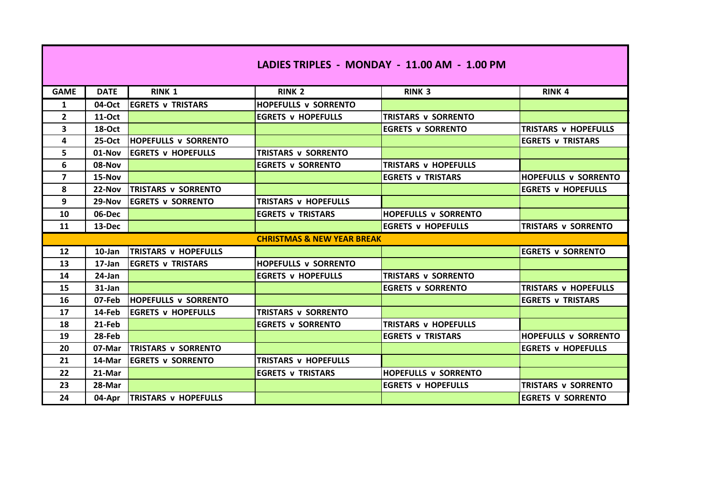| LADIES TRIPLES - MONDAY - 11.00 AM - 1.00 PM |               |                               |                             |                             |                             |  |
|----------------------------------------------|---------------|-------------------------------|-----------------------------|-----------------------------|-----------------------------|--|
| <b>GAME</b>                                  | <b>DATE</b>   | <b>RINK 1</b>                 | <b>RINK 2</b>               | <b>RINK 3</b>               | <b>RINK 4</b>               |  |
| $\mathbf{1}$                                 | 04-Oct        | <b>EGRETS v TRISTARS</b>      | <b>HOPEFULLS v SORRENTO</b> |                             |                             |  |
| $\mathbf{2}$                                 | <b>11-Oct</b> |                               | <b>EGRETS V HOPEFULLS</b>   | <b>TRISTARS v SORRENTO</b>  |                             |  |
| 3                                            | <b>18-Oct</b> |                               |                             | <b>EGRETS v SORRENTO</b>    | <b>TRISTARS v HOPEFULLS</b> |  |
| 4                                            | $25-Oct$      | <b>HOPEFULLS v SORRENTO</b>   |                             |                             | <b>EGRETS v TRISTARS</b>    |  |
| 5.                                           | $01-Nov$      | <b>IEGRETS v HOPEFULLS</b>    | TRISTARS v SORRENTO         |                             |                             |  |
| 6                                            | 08-Nov        |                               | <b>EGRETS v SORRENTO</b>    | <b>TRISTARS v HOPEFULLS</b> |                             |  |
| 7                                            | 15-Nov        |                               |                             | <b>EGRETS v TRISTARS</b>    | <b>HOPEFULLS v SORRENTO</b> |  |
| 8                                            | 22-Nov        | <b>TRISTARS v SORRENTO</b>    |                             |                             | <b>EGRETS v HOPEFULLS</b>   |  |
| 9                                            | $29-Nov$      | <b>IEGRETS v SORRENTO</b>     | TRISTARS v HOPEFULLS        |                             |                             |  |
| 10                                           | 06-Dec        |                               | <b>EGRETS v TRISTARS</b>    | <b>HOPEFULLS v SORRENTO</b> |                             |  |
| 11                                           | 13-Dec        |                               |                             | <b>EGRETS v HOPEFULLS</b>   | TRISTARS v SORRENTO         |  |
| <b>CHRISTMAS &amp; NEW YEAR BREAK</b>        |               |                               |                             |                             |                             |  |
| 12                                           | $10$ -Jan     | <b>TRISTARS v HOPEFULLS</b>   |                             |                             | <b>EGRETS v SORRENTO</b>    |  |
| 13                                           | 17-Jan        | <b>EGRETS v TRISTARS</b>      | <b>HOPEFULLS v SORRENTO</b> |                             |                             |  |
| 14                                           | $24$ -Jan     |                               | <b>EGRETS v HOPEFULLS</b>   | TRISTARS v SORRENTO         |                             |  |
| 15                                           | $31$ -Jan     |                               |                             | <b>EGRETS v SORRENTO</b>    | TRISTARS v HOPEFULLS        |  |
| 16                                           | 07-Feb        | <b>HOPEFULLS v SORRENTO</b>   |                             |                             | <b>EGRETS v TRISTARS</b>    |  |
| 17                                           | 14-Feb        | <b>EGRETS v HOPEFULLS</b>     | <b>TRISTARS v SORRENTO</b>  |                             |                             |  |
| 18                                           | 21-Feb        |                               | <b>EGRETS v SORRENTO</b>    | <b>TRISTARS V HOPEFULLS</b> |                             |  |
| 19                                           | 28-Feb        |                               |                             | <b>EGRETS v TRISTARS</b>    | <b>HOPEFULLS v SORRENTO</b> |  |
| 20                                           | 07-Mar        | <b>ITRISTARS v SORRENTO</b>   |                             |                             | <b>EGRETS v HOPEFULLS</b>   |  |
| 21                                           | 14-Mar        | <b>IEGRETS v SORRENTO</b>     | <b>TRISTARS V HOPEFULLS</b> |                             |                             |  |
| 22                                           | 21-Mar        |                               | <b>EGRETS v TRISTARS</b>    | <b>HOPEFULLS v SORRENTO</b> |                             |  |
| 23                                           | 28-Mar        |                               |                             | <b>EGRETS v HOPEFULLS</b>   | TRISTARS v SORRENTO         |  |
| 24                                           |               | 04-Apr   TRISTARS v HOPEFULLS |                             |                             | <b>EGRETS V SORRENTO</b>    |  |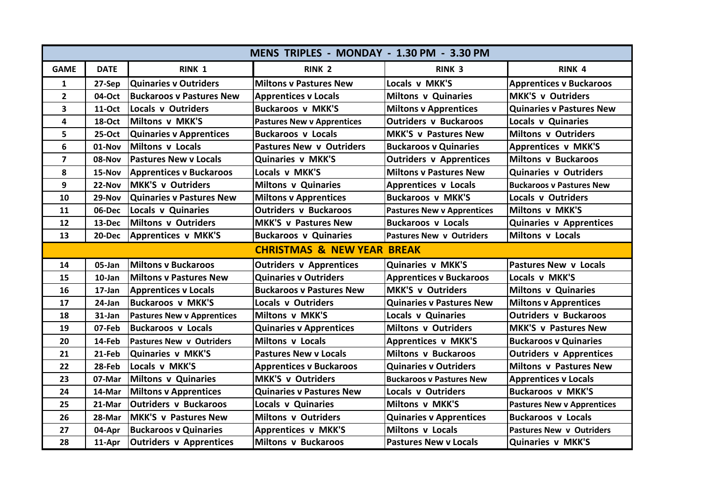| MENS TRIPLES - MONDAY - 1.30 PM - 3.30 PM |             |                                   |                                   |                                   |                                   |  |
|-------------------------------------------|-------------|-----------------------------------|-----------------------------------|-----------------------------------|-----------------------------------|--|
| <b>GAME</b>                               | <b>DATE</b> | RINK <sub>1</sub>                 | RINK <sub>2</sub>                 | RINK <sub>3</sub>                 | RINK <sub>4</sub>                 |  |
| 1                                         | 27-Sep      | <b>Quinaries v Outriders</b>      | <b>Miltons v Pastures New</b>     | Locals v MKK'S                    | <b>Apprentices v Buckaroos</b>    |  |
| $\overline{2}$                            | 04-Oct      | <b>Buckaroos v Pastures New</b>   | <b>Apprentices v Locals</b>       | <b>Miltons v Quinaries</b>        | <b>MKK'S v Outriders</b>          |  |
| 3                                         | 11-Oct      | Locals v Outriders                | <b>Buckaroos v MKK'S</b>          | <b>Miltons v Apprentices</b>      | <b>Quinaries v Pastures New</b>   |  |
| 4                                         | 18-Oct      | Miltons v MKK'S                   | <b>Pastures New v Apprentices</b> | <b>Outriders v Buckaroos</b>      | <b>Locals v Quinaries</b>         |  |
| 5                                         | 25-Oct      | <b>Quinaries v Apprentices</b>    | <b>Buckaroos v Locals</b>         | <b>MKK'S v Pastures New</b>       | <b>Miltons v Outriders</b>        |  |
| 6                                         | 01-Nov      | Miltons v Locals                  | <b>Pastures New v Outriders</b>   | <b>Buckaroos v Quinaries</b>      | <b>Apprentices v MKK'S</b>        |  |
| $\overline{\mathbf{z}}$                   | 08-Nov      | <b>Pastures New v Locals</b>      | <b>Quinaries v MKK'S</b>          | <b>Outriders v Apprentices</b>    | <b>Miltons v Buckaroos</b>        |  |
| 8                                         | 15-Nov      | <b>Apprentices v Buckaroos</b>    | Locals v MKK'S                    | <b>Miltons v Pastures New</b>     | <b>Quinaries v Outriders</b>      |  |
| 9                                         | 22-Nov      | <b>MKK'S v Outriders</b>          | <b>Miltons v Quinaries</b>        | <b>Apprentices v Locals</b>       | <b>Buckaroos v Pastures New</b>   |  |
| 10                                        | 29-Nov      | <b>Quinaries v Pastures New</b>   | <b>Miltons v Apprentices</b>      | <b>Buckaroos v MKK'S</b>          | Locals v Outriders                |  |
| 11                                        | 06-Dec      | Locals v Quinaries                | <b>Outriders v Buckaroos</b>      | <b>Pastures New v Apprentices</b> | Miltons v MKK'S                   |  |
| 12                                        | 13-Dec      | Miltons v Outriders               | <b>MKK'S v Pastures New</b>       | <b>Buckaroos v Locals</b>         | <b>Quinaries v Apprentices</b>    |  |
| 13                                        |             | 20-Dec   Apprentices v MKK'S      | <b>Buckaroos v Quinaries</b>      | <b>Pastures New v Outriders</b>   | Miltons v Locals                  |  |
| <b>CHRISTMAS &amp; NEW YEAR BREAK</b>     |             |                                   |                                   |                                   |                                   |  |
| 14                                        | 05-Jan      | <b>Miltons v Buckaroos</b>        | Outriders v Apprentices           | Quinaries v MKK'S                 | <b>Pastures New v Locals</b>      |  |
| 15                                        | $10$ -Jan   | <b>Miltons y Pastures New</b>     | <b>Quinaries v Outriders</b>      | <b>Apprentices v Buckaroos</b>    | Locals v MKK'S                    |  |
| 16                                        | 17-Jan      | <b>Apprentices v Locals</b>       | <b>Buckaroos v Pastures New</b>   | <b>MKK'S v Outriders</b>          | <b>Miltons v Quinaries</b>        |  |
| 17                                        | 24-Jan      | <b>Buckaroos v MKK'S</b>          | <b>Locals v Outriders</b>         | <b>Quinaries v Pastures New</b>   | <b>Miltons v Apprentices</b>      |  |
| 18                                        | 31-Jan      | <b>Pastures New v Apprentices</b> | Miltons v MKK'S                   | <b>Locals v Quinaries</b>         | <b>Outriders v Buckaroos</b>      |  |
| 19                                        | 07-Feb      | <b>Buckaroos v Locals</b>         | <b>Quinaries v Apprentices</b>    | <b>Miltons v Outriders</b>        | <b>MKK'S v Pastures New</b>       |  |
| 20                                        | 14-Feb      | <b>Pastures New v Outriders</b>   | Miltons v Locals                  | <b>Apprentices v MKK'S</b>        | <b>Buckaroos v Quinaries</b>      |  |
| 21                                        | 21-Feb      | Quinaries v MKK'S                 | <b>Pastures New v Locals</b>      | <b>Miltons v Buckaroos</b>        | <b>Outriders v Apprentices</b>    |  |
| 22                                        | 28-Feb      | Locals v MKK'S                    | <b>Apprentices v Buckaroos</b>    | <b>Quinaries v Outriders</b>      | <b>Miltons v Pastures New</b>     |  |
| 23                                        | 07-Mar      | Miltons v Quinaries               | <b>MKK'S v Outriders</b>          | <b>Buckaroos v Pastures New</b>   | <b>Apprentices v Locals</b>       |  |
| 24                                        | 14-Mar      | <b>Miltons v Apprentices</b>      | <b>Quinaries v Pastures New</b>   | <b>Locals v Outriders</b>         | <b>Buckaroos v MKK'S</b>          |  |
| 25                                        | 21-Mar      | <b>Outriders v Buckaroos</b>      | Locals v Quinaries                | Miltons v MKK'S                   | <b>Pastures New v Apprentices</b> |  |
| 26                                        | 28-Mar      | <b>IMKK'S v Pastures New</b>      | <b>Miltons v Outriders</b>        | <b>Quinaries v Apprentices</b>    | <b>Buckaroos v Locals</b>         |  |
| 27                                        | 04-Apr      | <b>Buckaroos v Quinaries</b>      | <b>Apprentices v MKK'S</b>        | <b>Miltons v Locals</b>           | <b>Pastures New v Outriders</b>   |  |
| 28                                        | 11-Apr      | <b>Outriders v Apprentices</b>    | <b>Miltons v Buckaroos</b>        | <b>Pastures New v Locals</b>      | <b>Quinaries v MKK'S</b>          |  |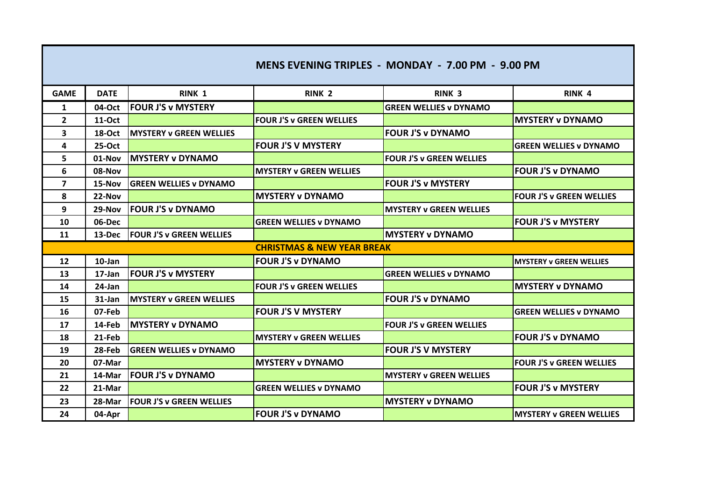| MENS EVENING TRIPLES - MONDAY - 7.00 PM - 9.00 PM |               |                                 |                                 |                                 |                                 |
|---------------------------------------------------|---------------|---------------------------------|---------------------------------|---------------------------------|---------------------------------|
| <b>GAME</b>                                       | <b>DATE</b>   | RINK 1                          | RINK <sub>2</sub>               | <b>RINK 3</b>                   | RINK <sub>4</sub>               |
| $\mathbf{1}$                                      | 04-Oct        | <b>FOUR J'S v MYSTERY</b>       |                                 | <b>GREEN WELLIES v DYNAMO</b>   |                                 |
| $\overline{2}$                                    | <b>11-Oct</b> |                                 | <b>FOUR J'S v GREEN WELLIES</b> |                                 | <b>MYSTERY v DYNAMO</b>         |
| 3                                                 | <b>18-Oct</b> | <b>IMYSTERY v GREEN WELLIES</b> |                                 | <b>FOUR J'S v DYNAMO</b>        |                                 |
| 4                                                 | 25-Oct        |                                 | <b>FOUR J'S V MYSTERY</b>       |                                 | <b>GREEN WELLIES v DYNAMO</b>   |
| 5.                                                | $01-Nov$      | <b>IMYSTERY v DYNAMO</b>        |                                 | <b>FOUR J'S v GREEN WELLIES</b> |                                 |
| 6                                                 | 08-Nov        |                                 | <b>MYSTERY v GREEN WELLIES</b>  |                                 | <b>FOUR J'S v DYNAMO</b>        |
| $\overline{\mathbf{z}}$                           | 15-Nov        | <b>IGREEN WELLIES v DYNAMO</b>  |                                 | <b>FOUR J'S v MYSTERY</b>       |                                 |
| 8                                                 | $22-Nov$      |                                 | <b>IMYSTERY v DYNAMO</b>        |                                 | <b>FOUR J'S v GREEN WELLIES</b> |
| 9                                                 | 29-Nov        | <b>FOUR J'S v DYNAMO</b>        |                                 | <b>MYSTERY v GREEN WELLIES</b>  |                                 |
| 10                                                | 06-Dec        |                                 | <b>GREEN WELLIES v DYNAMO</b>   |                                 | <b>FOUR J'S v MYSTERY</b>       |
| 11                                                | 13-Dec        | <b>FOUR J'S v GREEN WELLIES</b> |                                 | <b>MYSTERY v DYNAMO</b>         |                                 |
| <b>CHRISTMAS &amp; NEW YEAR BREAK</b>             |               |                                 |                                 |                                 |                                 |
| 12                                                | 10-Jan        |                                 | <b>FOUR J'S v DYNAMO</b>        |                                 | <b>MYSTERY v GREEN WELLIES</b>  |
| 13                                                | $17$ -Jan     | <b>IFOUR J'S v MYSTERY</b>      |                                 | <b>GREEN WELLIES v DYNAMO</b>   |                                 |
| 14                                                | 24-Jan        |                                 | <b>FOUR J'S v GREEN WELLIES</b> |                                 | <b>MYSTERY v DYNAMO</b>         |
| 15                                                | 31-Jan        | <b>MYSTERY v GREEN WELLIES</b>  |                                 | <b>FOUR J'S v DYNAMO</b>        |                                 |
| 16                                                | 07-Feb        |                                 | <b>FOUR J'S V MYSTERY</b>       |                                 | <b>GREEN WELLIES v DYNAMO</b>   |
| 17                                                | 14-Feb        | <b>IMYSTERY v DYNAMO</b>        |                                 | <b>FOUR J'S v GREEN WELLIES</b> |                                 |
| 18                                                | 21-Feb        |                                 | <b>MYSTERY v GREEN WELLIES</b>  |                                 | <b>FOUR J'S v DYNAMO</b>        |
| 19                                                | 28-Feb        | <b>GREEN WELLIES v DYNAMO</b>   |                                 | <b>FOUR J'S V MYSTERY</b>       |                                 |
| 20                                                | 07-Mar        |                                 | <b>MYSTERY v DYNAMO</b>         |                                 | <b>FOUR J'S v GREEN WELLIES</b> |
| 21                                                | 14-Mar        | <b>FOUR J'S v DYNAMO</b>        |                                 | <b>MYSTERY v GREEN WELLIES</b>  |                                 |
| 22                                                | 21-Mar        |                                 | <b>GREEN WELLIES v DYNAMO</b>   |                                 | <b>FOUR J'S v MYSTERY</b>       |
| 23                                                | 28-Mar        | <b>FOUR J'S v GREEN WELLIES</b> |                                 | <b>MYSTERY v DYNAMO</b>         |                                 |
| 24                                                | 04-Apr        |                                 | <b>FOUR J'S v DYNAMO</b>        |                                 | <b>MYSTERY v GREEN WELLIES</b>  |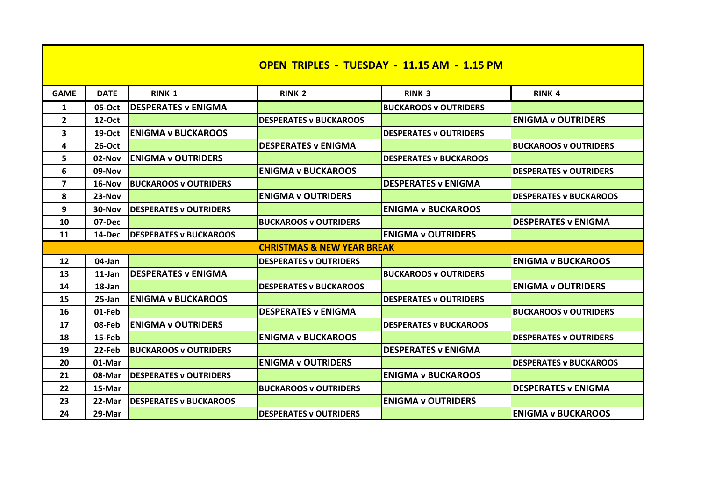| <b>OPEN TRIPLES - TUESDAY - 11.15 AM - 1.15 PM</b> |             |                                |                               |                               |                               |  |
|----------------------------------------------------|-------------|--------------------------------|-------------------------------|-------------------------------|-------------------------------|--|
| <b>GAME</b>                                        | <b>DATE</b> | RINK 1                         | <b>RINK 2</b>                 | <b>RINK 3</b>                 | <b>RINK 4</b>                 |  |
| 1                                                  | 05-Oct      | <b>DESPERATES v ENIGMA</b>     |                               | <b>BUCKAROOS v OUTRIDERS</b>  |                               |  |
| $\mathbf{2}$                                       | 12-Oct      |                                | <b>DESPERATES v BUCKAROOS</b> |                               | <b>ENIGMA v OUTRIDERS</b>     |  |
| 3                                                  | $19-Oct$    | <b>IENIGMA v BUCKAROOS</b>     |                               | <b>DESPERATES v OUTRIDERS</b> |                               |  |
| 4                                                  | 26-Oct      |                                | <b>DESPERATES v ENIGMA</b>    |                               | <b>BUCKAROOS v OUTRIDERS</b>  |  |
| 5                                                  | 02-Nov      | <b>ENIGMA y OUTRIDERS</b>      |                               | <b>DESPERATES v BUCKAROOS</b> |                               |  |
| 6                                                  | 09-Nov      |                                | <b>ENIGMA v BUCKAROOS</b>     |                               | <b>DESPERATES v OUTRIDERS</b> |  |
| 7                                                  | 16-Nov      | <b>BUCKAROOS v OUTRIDERS</b>   |                               | <b>DESPERATES v ENIGMA</b>    |                               |  |
| 8                                                  | $23-Nov$    |                                | <b>ENIGMA y OUTRIDERS</b>     |                               | <b>DESPERATES v BUCKAROOS</b> |  |
| 9                                                  | 30-Nov      | <b>IDESPERATES v OUTRIDERS</b> |                               | <b>ENIGMA v BUCKAROOS</b>     |                               |  |
| 10                                                 | 07-Dec      |                                | <b>BUCKAROOS v OUTRIDERS</b>  |                               | <b>DESPERATES v ENIGMA</b>    |  |
| 11                                                 | 14-Dec      | <b>IDESPERATES v BUCKAROOS</b> |                               | <b>ENIGMA v OUTRIDERS</b>     |                               |  |
| <b>CHRISTMAS &amp; NEW YEAR BREAK</b>              |             |                                |                               |                               |                               |  |
| 12                                                 | 04-Jan      |                                | <b>DESPERATES v OUTRIDERS</b> |                               | <b>ENIGMA v BUCKAROOS</b>     |  |
| 13                                                 | $11$ -Jan   | <b>DESPERATES v ENIGMA</b>     |                               | <b>BUCKAROOS v OUTRIDERS</b>  |                               |  |
| 14                                                 | 18-Jan      |                                | <b>DESPERATES v BUCKAROOS</b> |                               | <b>ENIGMA v OUTRIDERS</b>     |  |
| 15                                                 | $25$ -Jan   | <b>ENIGMA v BUCKAROOS</b>      |                               | <b>DESPERATES v OUTRIDERS</b> |                               |  |
| 16                                                 | 01-Feb      |                                | <b>DESPERATES v ENIGMA</b>    |                               | <b>IBUCKAROOS v OUTRIDERS</b> |  |
| 17                                                 | 08-Feb      | <b>ENIGMA v OUTRIDERS</b>      |                               | <b>DESPERATES v BUCKAROOS</b> |                               |  |
| 18                                                 | 15-Feb      |                                | <b>ENIGMA v BUCKAROOS</b>     |                               | <b>DESPERATES v OUTRIDERS</b> |  |
| 19                                                 | 22-Feb      | <b>BUCKAROOS v OUTRIDERS</b>   |                               | <b>DESPERATES v ENIGMA</b>    |                               |  |
| 20                                                 | 01-Mar      |                                | <b>ENIGMA v OUTRIDERS</b>     |                               | <b>DESPERATES v BUCKAROOS</b> |  |
| 21                                                 | 08-Mar      | <b>IDESPERATES v OUTRIDERS</b> |                               | <b>ENIGMA v BUCKAROOS</b>     |                               |  |
| 22                                                 | 15-Mar      |                                | <b>BUCKAROOS v OUTRIDERS</b>  |                               | <b>DESPERATES v ENIGMA</b>    |  |
| 23                                                 | 22-Mar      | <b>IDESPERATES v BUCKAROOS</b> |                               | <b>ENIGMA y OUTRIDERS</b>     |                               |  |
| 24                                                 | 29-Mar      |                                | <b>DESPERATES v OUTRIDERS</b> |                               | <b>ENIGMA v BUCKAROOS</b>     |  |

<u> 1980 - Andrea Station Andrea Station Andrea Station Andrea Station Andrea Sta</u>